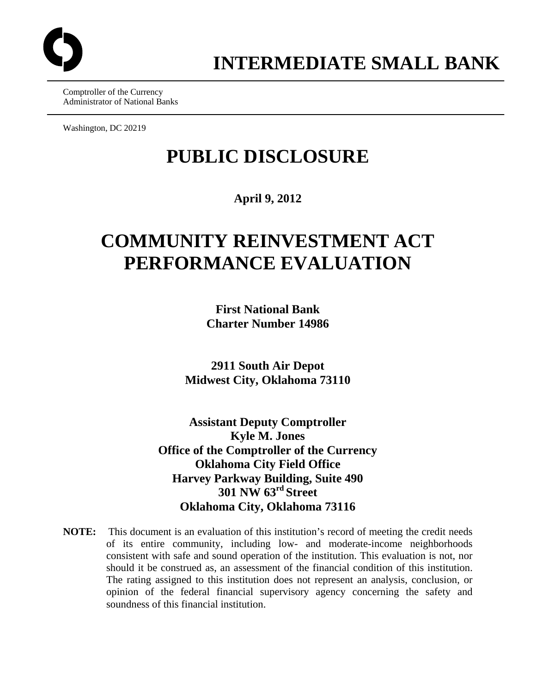

Comptroller of the Currency Administrator of National Banks

Washington, DC 20219

# **PUBLIC DISCLOSURE**

### **April 9, 2012**

# **COMMUNITY REINVESTMENT ACT PERFORMANCE EVALUATION**

**First National Bank Charter Number 14986** 

**2911 South Air Depot Midwest City, Oklahoma 73110** 

**Assistant Deputy Comptroller Kyle M. Jones Office of the Comptroller of the Currency Oklahoma City Field Office Harvey Parkway Building, Suite 490 301 NW 63rd Street Oklahoma City, Oklahoma 73116** 

**NOTE:** This document is an evaluation of this institution's record of meeting the credit needs of its entire community, including low- and moderate-income neighborhoods consistent with safe and sound operation of the institution. This evaluation is not, nor should it be construed as, an assessment of the financial condition of this institution. The rating assigned to this institution does not represent an analysis, conclusion, or opinion of the federal financial supervisory agency concerning the safety and soundness of this financial institution.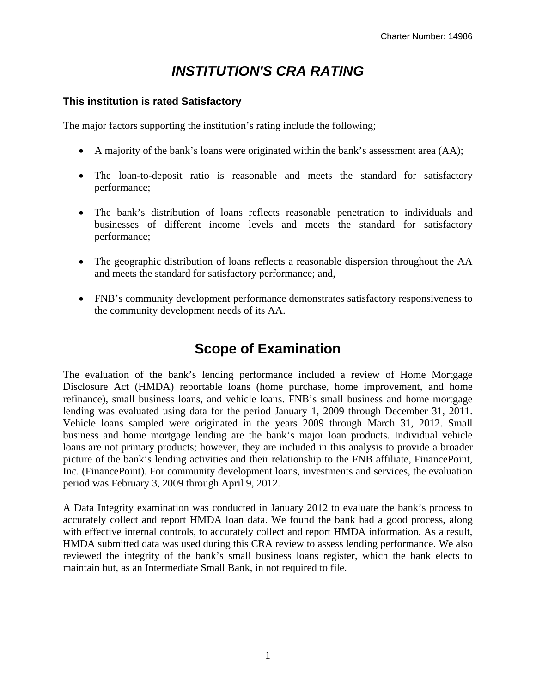# *INSTITUTION'S CRA RATING*

#### **This institution is rated Satisfactory**

The major factors supporting the institution's rating include the following;

- A majority of the bank's loans were originated within the bank's assessment area (AA);
- The loan-to-deposit ratio is reasonable and meets the standard for satisfactory performance;
- The bank's distribution of loans reflects reasonable penetration to individuals and businesses of different income levels and meets the standard for satisfactory performance;
- The geographic distribution of loans reflects a reasonable dispersion throughout the AA and meets the standard for satisfactory performance; and,
- FNB's community development performance demonstrates satisfactory responsiveness to the community development needs of its AA.

# **Scope of Examination**

The evaluation of the bank's lending performance included a review of Home Mortgage Disclosure Act (HMDA) reportable loans (home purchase, home improvement, and home refinance), small business loans, and vehicle loans. FNB's small business and home mortgage lending was evaluated using data for the period January 1, 2009 through December 31, 2011. Vehicle loans sampled were originated in the years 2009 through March 31, 2012. Small business and home mortgage lending are the bank's major loan products. Individual vehicle loans are not primary products; however, they are included in this analysis to provide a broader picture of the bank's lending activities and their relationship to the FNB affiliate, FinancePoint, Inc. (FinancePoint). For community development loans, investments and services, the evaluation period was February 3, 2009 through April 9, 2012.

A Data Integrity examination was conducted in January 2012 to evaluate the bank's process to accurately collect and report HMDA loan data. We found the bank had a good process, along with effective internal controls, to accurately collect and report HMDA information. As a result, HMDA submitted data was used during this CRA review to assess lending performance. We also reviewed the integrity of the bank's small business loans register, which the bank elects to maintain but, as an Intermediate Small Bank, in not required to file.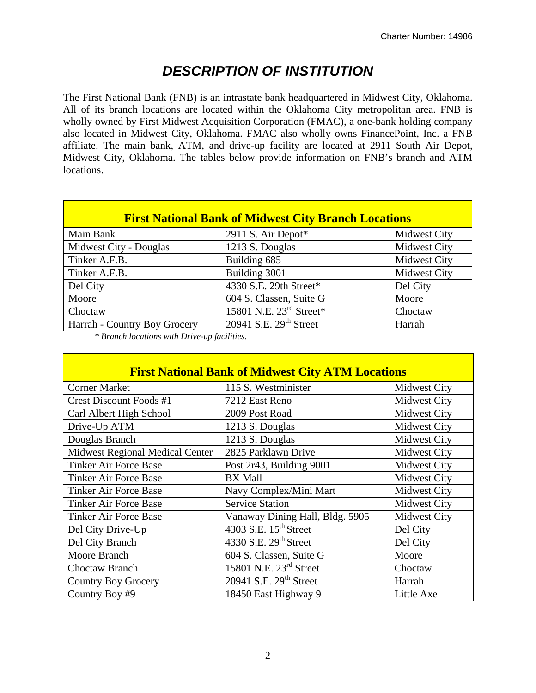# *DESCRIPTION OF INSTITUTION*

The First National Bank (FNB) is an intrastate bank headquartered in Midwest City, Oklahoma. All of its branch locations are located within the Oklahoma City metropolitan area. FNB is wholly owned by First Midwest Acquisition Corporation (FMAC), a one-bank holding company also located in Midwest City, Oklahoma. FMAC also wholly owns FinancePoint, Inc. a FNB affiliate. The main bank, ATM, and drive-up facility are located at 2911 South Air Depot, Midwest City, Oklahoma. The tables below provide information on FNB's branch and ATM locations.

| <b>First National Bank of Midwest City Branch Locations</b> |                                     |                     |  |  |  |  |  |  |  |
|-------------------------------------------------------------|-------------------------------------|---------------------|--|--|--|--|--|--|--|
| Main Bank                                                   | 2911 S. Air Depot*                  | Midwest City        |  |  |  |  |  |  |  |
| Midwest City - Douglas                                      | 1213 S. Douglas                     | Midwest City        |  |  |  |  |  |  |  |
| Tinker A.F.B.                                               | Building 685                        | Midwest City        |  |  |  |  |  |  |  |
| Tinker A.F.B.                                               | Building 3001                       | <b>Midwest City</b> |  |  |  |  |  |  |  |
| Del City                                                    | 4330 S.E. 29th Street*              | Del City            |  |  |  |  |  |  |  |
| Moore                                                       | 604 S. Classen, Suite G             | Moore               |  |  |  |  |  |  |  |
| Choctaw                                                     | 15801 N.E. $23^{\text{rd}}$ Street* | Choctaw             |  |  |  |  |  |  |  |
| Harrah - Country Boy Grocery                                | 20941 S.E. 29 <sup>th</sup> Street  | Harrah              |  |  |  |  |  |  |  |

*\* Branch locations with Drive-up facilities.* 

|                                 | <b>First National Bank of Midwest City ATM Locations</b> |                     |  |  |  |  |  |  |  |
|---------------------------------|----------------------------------------------------------|---------------------|--|--|--|--|--|--|--|
| <b>Corner Market</b>            | 115 S. Westminister                                      | <b>Midwest City</b> |  |  |  |  |  |  |  |
| <b>Crest Discount Foods #1</b>  | 7212 East Reno                                           | <b>Midwest City</b> |  |  |  |  |  |  |  |
| Carl Albert High School         | 2009 Post Road                                           | <b>Midwest City</b> |  |  |  |  |  |  |  |
| Drive-Up ATM                    | 1213 S. Douglas                                          | <b>Midwest City</b> |  |  |  |  |  |  |  |
| Douglas Branch                  | 1213 S. Douglas                                          | <b>Midwest City</b> |  |  |  |  |  |  |  |
| Midwest Regional Medical Center | 2825 Parklawn Drive                                      | <b>Midwest City</b> |  |  |  |  |  |  |  |
| <b>Tinker Air Force Base</b>    | Post 2r43, Building 9001                                 | <b>Midwest City</b> |  |  |  |  |  |  |  |
| <b>Tinker Air Force Base</b>    | <b>BX</b> Mall                                           | <b>Midwest City</b> |  |  |  |  |  |  |  |
| Tinker Air Force Base           | Navy Complex/Mini Mart                                   | <b>Midwest City</b> |  |  |  |  |  |  |  |
| <b>Tinker Air Force Base</b>    | <b>Service Station</b>                                   | <b>Midwest City</b> |  |  |  |  |  |  |  |
| Tinker Air Force Base           | Vanaway Dining Hall, Bldg. 5905                          | <b>Midwest City</b> |  |  |  |  |  |  |  |
| Del City Drive-Up               | 4303 S.E. 15 <sup>th</sup> Street                        | Del City            |  |  |  |  |  |  |  |
| Del City Branch                 | 4330 S.E. 29 <sup>th</sup> Street                        | Del City            |  |  |  |  |  |  |  |
| Moore Branch                    | 604 S. Classen, Suite G                                  | Moore               |  |  |  |  |  |  |  |
| Choctaw Branch                  | 15801 N.E. 23 <sup>rd</sup> Street                       | Choctaw             |  |  |  |  |  |  |  |
| <b>Country Boy Grocery</b>      | 20941 S.E. 29 <sup>th</sup> Street                       | Harrah              |  |  |  |  |  |  |  |
| Country Boy #9                  | 18450 East Highway 9                                     | Little Axe          |  |  |  |  |  |  |  |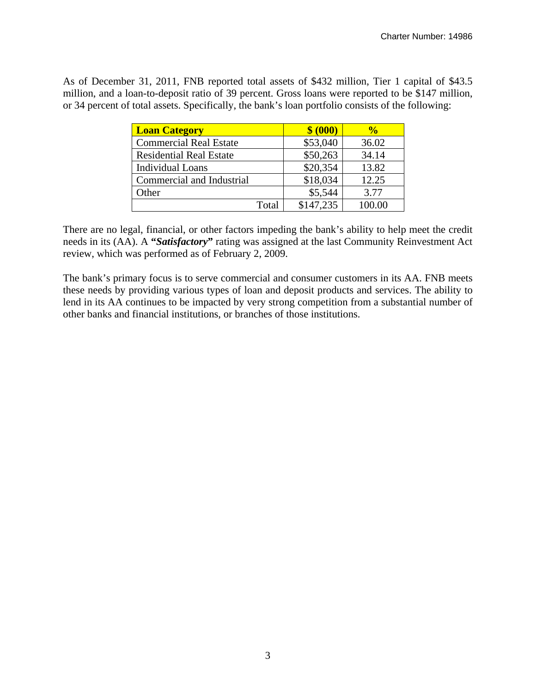As of December 31, 2011, FNB reported total assets of \$432 million, Tier 1 capital of \$43.5 million, and a loan-to-deposit ratio of 39 percent. Gross loans were reported to be \$147 million, or 34 percent of total assets. Specifically, the bank's loan portfolio consists of the following:

| <b>Loan Category</b>           |       | \$ (000)  | $\frac{6}{10}$ |
|--------------------------------|-------|-----------|----------------|
| <b>Commercial Real Estate</b>  |       | \$53,040  | 36.02          |
| <b>Residential Real Estate</b> |       | \$50,263  | 34.14          |
| <b>Individual Loans</b>        |       | \$20,354  | 13.82          |
| Commercial and Industrial      |       | \$18,034  | 12.25          |
| Other                          |       | \$5,544   | 3.77           |
|                                | Total | \$147,235 | 100.00         |

There are no legal, financial, or other factors impeding the bank's ability to help meet the credit needs in its (AA). A **"***Satisfactory***"** rating was assigned at the last Community Reinvestment Act review, which was performed as of February 2, 2009.

The bank's primary focus is to serve commercial and consumer customers in its AA. FNB meets these needs by providing various types of loan and deposit products and services. The ability to lend in its AA continues to be impacted by very strong competition from a substantial number of other banks and financial institutions, or branches of those institutions.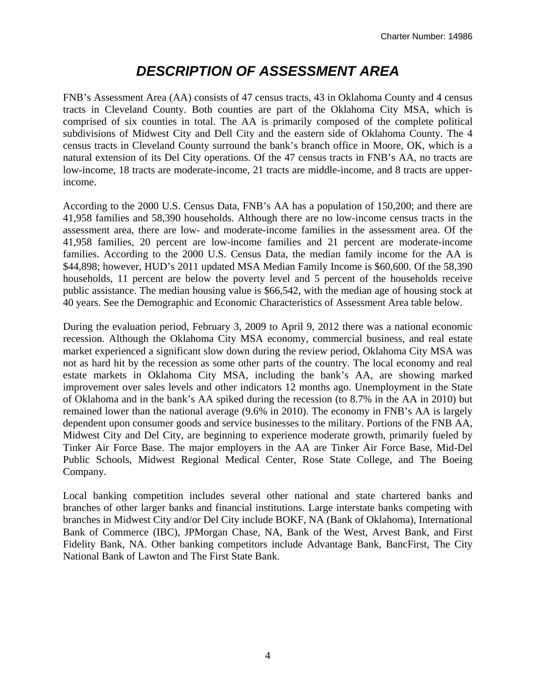# *DESCRIPTION OF ASSESSMENT AREA*

FNB's Assessment Area (AA) consists of 47 census tracts, 43 in Oklahoma County and 4 census tracts in Cleveland County. Both counties are part of the Oklahoma City MSA, which is comprised of six counties in total. The AA is primarily composed of the complete political subdivisions of Midwest City and Dell City and the eastern side of Oklahoma County. The 4 census tracts in Cleveland County surround the bank's branch office in Moore, OK, which is a natural extension of its Del City operations. Of the 47 census tracts in FNB's AA, no tracts are low-income, 18 tracts are moderate-income, 21 tracts are middle-income, and 8 tracts are upperincome.

According to the 2000 U.S. Census Data, FNB's AA has a population of 150,200; and there are 41,958 families and 58,390 households. Although there are no low-income census tracts in the assessment area, there are low- and moderate-income families in the assessment area. Of the 41,958 families, 20 percent are low-income families and 21 percent are moderate-income families. According to the 2000 U.S. Census Data, the median family income for the AA is \$44,898; however, HUD's 2011 updated MSA Median Family Income is \$60,600. Of the 58,390 households, 11 percent are below the poverty level and 5 percent of the households receive public assistance. The median housing value is \$66,542, with the median age of housing stock at 40 years. See the Demographic and Economic Characteristics of Assessment Area table below.

During the evaluation period, February 3, 2009 to April 9, 2012 there was a national economic recession. Although the Oklahoma City MSA economy, commercial business, and real estate market experienced a significant slow down during the review period, Oklahoma City MSA was not as hard hit by the recession as some other parts of the country. The local economy and real estate markets in Oklahoma City MSA, including the bank's AA, are showing marked improvement over sales levels and other indicators 12 months ago. Unemployment in the State of Oklahoma and in the bank's AA spiked during the recession (to 8.7% in the AA in 2010) but remained lower than the national average (9.6% in 2010). The economy in FNB's AA is largely dependent upon consumer goods and service businesses to the military. Portions of the FNB AA, Midwest City and Del City, are beginning to experience moderate growth, primarily fueled by Tinker Air Force Base. The major employers in the AA are Tinker Air Force Base, Mid-Del Public Schools, Midwest Regional Medical Center, Rose State College, and The Boeing Company.

Local banking competition includes several other national and state chartered banks and branches of other larger banks and financial institutions. Large interstate banks competing with branches in Midwest City and/or Del City include BOKF, NA (Bank of Oklahoma), International Bank of Commerce (IBC), JPMorgan Chase, NA, Bank of the West, Arvest Bank, and First Fidelity Bank, NA. Other banking competitors include Advantage Bank, BancFirst, The City National Bank of Lawton and The First State Bank.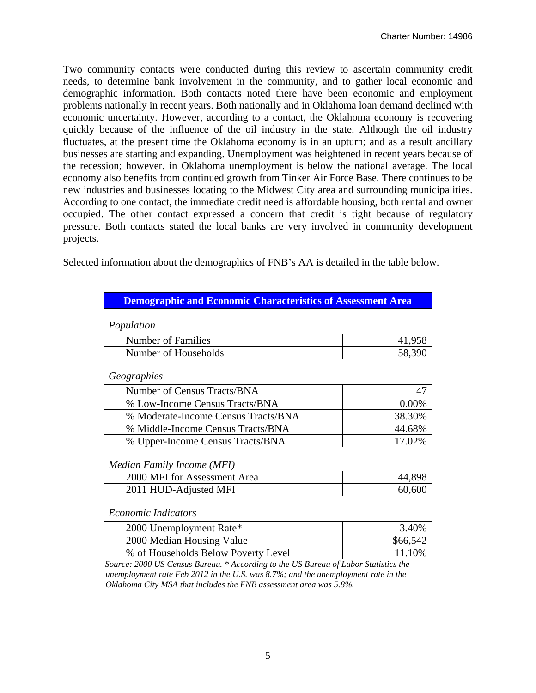Two community contacts were conducted during this review to ascertain community credit needs, to determine bank involvement in the community, and to gather local economic and demographic information. Both contacts noted there have been economic and employment problems nationally in recent years. Both nationally and in Oklahoma loan demand declined with economic uncertainty. However, according to a contact, the Oklahoma economy is recovering quickly because of the influence of the oil industry in the state. Although the oil industry fluctuates, at the present time the Oklahoma economy is in an upturn; and as a result ancillary businesses are starting and expanding. Unemployment was heightened in recent years because of the recession; however, in Oklahoma unemployment is below the national average. The local economy also benefits from continued growth from Tinker Air Force Base. There continues to be new industries and businesses locating to the Midwest City area and surrounding municipalities. According to one contact, the immediate credit need is affordable housing, both rental and owner occupied. The other contact expressed a concern that credit is tight because of regulatory pressure. Both contacts stated the local banks are very involved in community development projects.

Selected information about the demographics of FNB's AA is detailed in the table below.

| <b>Demographic and Economic Characteristics of Assessment Area</b> |          |
|--------------------------------------------------------------------|----------|
| Population                                                         |          |
| <b>Number of Families</b>                                          | 41,958   |
| Number of Households                                               | 58,390   |
| Geographies                                                        |          |
| Number of Census Tracts/BNA                                        | 47       |
| % Low-Income Census Tracts/BNA                                     | 0.00%    |
| % Moderate-Income Census Tracts/BNA                                | 38.30%   |
| % Middle-Income Census Tracts/BNA                                  | 44.68%   |
| % Upper-Income Census Tracts/BNA                                   | 17.02%   |
| Median Family Income (MFI)                                         |          |
| 2000 MFI for Assessment Area                                       | 44,898   |
| 2011 HUD-Adjusted MFI                                              | 60,600   |
| <b>Economic Indicators</b>                                         |          |
| 2000 Unemployment Rate*                                            | 3.40%    |
| 2000 Median Housing Value                                          | \$66,542 |
| % of Households Below Poverty Level                                | 11.10%   |

*Source: 2000 US Census Bureau. \* According to the US Bureau of Labor Statistics the unemployment rate Feb 2012 in the U.S. was 8.7%; and the unemployment rate in the Oklahoma City MSA that includes the FNB assessment area was 5.8%.*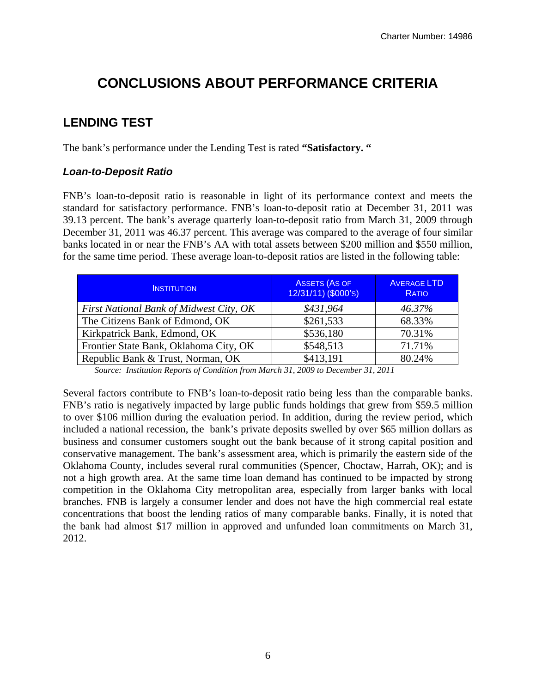# **CONCLUSIONS ABOUT PERFORMANCE CRITERIA**

### **LENDING TEST**

The bank's performance under the Lending Test is rated **"Satisfactory. "** 

#### *Loan-to-Deposit Ratio*

FNB's loan-to-deposit ratio is reasonable in light of its performance context and meets the standard for satisfactory performance. FNB's loan-to-deposit ratio at December 31, 2011 was 39.13 percent. The bank's average quarterly loan-to-deposit ratio from March 31, 2009 through December 31, 2011 was 46.37 percent. This average was compared to the average of four similar banks located in or near the FNB's AA with total assets between \$200 million and \$550 million, for the same time period. These average loan-to-deposit ratios are listed in the following table:

| <b>INSTITUTION</b>                      | <b>ASSETS (AS OF</b><br>12/31/11) (\$000's) | <b>AVERAGE LTD</b><br><b>RATIO</b> |
|-----------------------------------------|---------------------------------------------|------------------------------------|
| First National Bank of Midwest City, OK | \$431,964                                   | 46.37%                             |
| The Citizens Bank of Edmond, OK         | \$261,533                                   | 68.33%                             |
| Kirkpatrick Bank, Edmond, OK            | \$536,180                                   | 70.31%                             |
| Frontier State Bank, Oklahoma City, OK  | \$548,513                                   | 71.71%                             |
| Republic Bank & Trust, Norman, OK       | \$413,191                                   | 80.24%                             |

*Source: Institution Reports of Condition from March 31, 2009 to December 31, 2011* 

Several factors contribute to FNB's loan-to-deposit ratio being less than the comparable banks. FNB's ratio is negatively impacted by large public funds holdings that grew from \$59.5 million to over \$106 million during the evaluation period. In addition, during the review period, which included a national recession, the bank's private deposits swelled by over \$65 million dollars as business and consumer customers sought out the bank because of it strong capital position and conservative management. The bank's assessment area, which is primarily the eastern side of the Oklahoma County, includes several rural communities (Spencer, Choctaw, Harrah, OK); and is not a high growth area. At the same time loan demand has continued to be impacted by strong competition in the Oklahoma City metropolitan area, especially from larger banks with local branches. FNB is largely a consumer lender and does not have the high commercial real estate concentrations that boost the lending ratios of many comparable banks. Finally, it is noted that the bank had almost \$17 million in approved and unfunded loan commitments on March 31, 2012.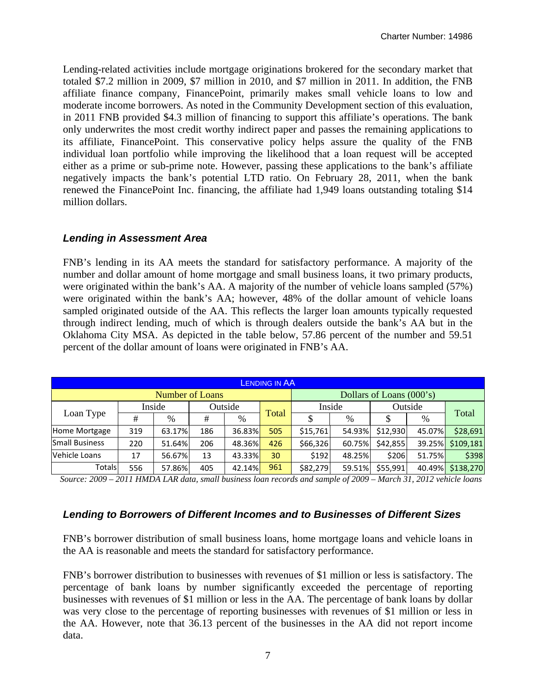Lending-related activities include mortgage originations brokered for the secondary market that totaled \$7.2 million in 2009, \$7 million in 2010, and \$7 million in 2011. In addition, the FNB affiliate finance company, FinancePoint, primarily makes small vehicle loans to low and moderate income borrowers. As noted in the Community Development section of this evaluation, in 2011 FNB provided \$4.3 million of financing to support this affiliate's operations. The bank only underwrites the most credit worthy indirect paper and passes the remaining applications to its affiliate, FinancePoint. This conservative policy helps assure the quality of the FNB individual loan portfolio while improving the likelihood that a loan request will be accepted either as a prime or sub-prime note. However, passing these applications to the bank's affiliate negatively impacts the bank's potential LTD ratio. On February 28, 2011, when the bank renewed the FinancePoint Inc. financing, the affiliate had 1,949 loans outstanding totaling \$14 million dollars.

#### *Lending in Assessment Area*

FNB's lending in its AA meets the standard for satisfactory performance. A majority of the number and dollar amount of home mortgage and small business loans, it two primary products, were originated within the bank's AA. A majority of the number of vehicle loans sampled (57%) were originated within the bank's AA; however, 48% of the dollar amount of vehicle loans sampled originated outside of the AA. This reflects the larger loan amounts typically requested through indirect lending, much of which is through dealers outside the bank's AA but in the Oklahoma City MSA. As depicted in the table below, 57.86 percent of the number and 59.51 percent of the dollar amount of loans were originated in FNB's AA.

| <b>LENDING IN AA</b>  |     |                        |     |         |       |          |        |                          |         |           |  |  |
|-----------------------|-----|------------------------|-----|---------|-------|----------|--------|--------------------------|---------|-----------|--|--|
|                       |     | <b>Number of Loans</b> |     |         |       |          |        | Dollars of Loans (000's) |         |           |  |  |
|                       |     | Inside                 |     | Outside |       |          | Inside |                          | Outside |           |  |  |
| Loan Type             | #   | $\%$                   | #   | %       | Total | ¢        | %      | \$                       | $\%$    | Total     |  |  |
| Home Mortgage         | 319 | 63.17%                 | 186 | 36.83%  | 505   | \$15,761 | 54.93% | \$12,930                 | 45.07%  | \$28,691  |  |  |
| <b>Small Business</b> | 220 | 51.64%                 | 206 | 48.36%  | 426   | \$66,326 | 60.75% | \$42,855                 | 39.25%  | \$109,181 |  |  |
| Vehicle Loans         | 17  | 56.67%                 | 13  | 43.33%  | 30    | \$192    | 48.25% | \$206                    | 51.75%  | \$398     |  |  |
| Totals                | 556 | 57.86%                 | 405 | 42.14%  | 961   | \$82,279 | 59.51% | \$55,991                 | 40.49%  | \$138,270 |  |  |

*Source: 2009 – 2011 HMDA LAR data, small business loan records and sample of 2009 – March 31, 2012 vehicle loans* 

#### *Lending to Borrowers of Different Incomes and to Businesses of Different Sizes*

FNB's borrower distribution of small business loans, home mortgage loans and vehicle loans in the AA is reasonable and meets the standard for satisfactory performance.

FNB's borrower distribution to businesses with revenues of \$1 million or less is satisfactory. The percentage of bank loans by number significantly exceeded the percentage of reporting businesses with revenues of \$1 million or less in the AA. The percentage of bank loans by dollar was very close to the percentage of reporting businesses with revenues of \$1 million or less in the AA. However, note that 36.13 percent of the businesses in the AA did not report income data.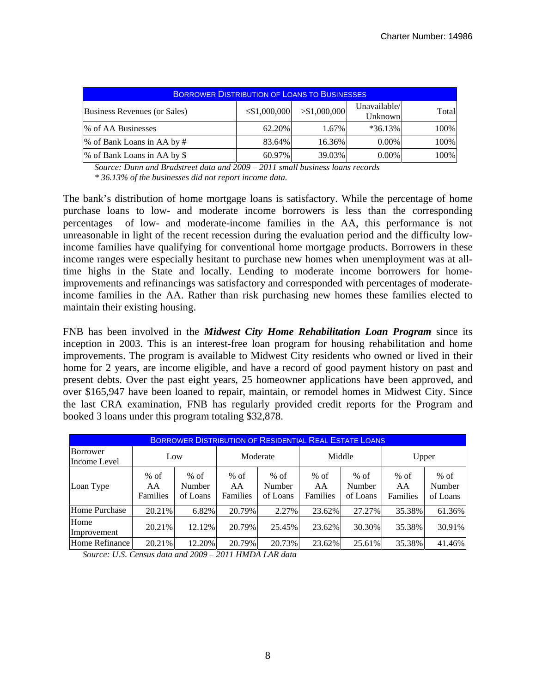| <b>BORROWER DISTRIBUTION OF LOANS TO BUSINESSES</b> |                    |               |                         |       |  |  |  |  |  |  |
|-----------------------------------------------------|--------------------|---------------|-------------------------|-------|--|--|--|--|--|--|
| Business Revenues (or Sales)                        | $\leq$ \$1,000,000 | > \$1,000,000 | Unavailable/<br>Unknown | Total |  |  |  |  |  |  |
| % of AA Businesses                                  | 62.20%             | 1.67%         | $*36.13\%$              | 100%  |  |  |  |  |  |  |
| % of Bank Loans in AA by #                          | 83.64%             | 16.36%        | $0.00\%$                | 100%  |  |  |  |  |  |  |
| % of Bank Loans in AA by \$                         | 60.97%             | 39.03%        | $0.00\%$                | 100%  |  |  |  |  |  |  |

*Source: Dunn and Bradstreet data and 2009 – 2011 small business loans records \* 36.13% of the businesses did not report income data.* 

The bank's distribution of home mortgage loans is satisfactory. While the percentage of home purchase loans to low- and moderate income borrowers is less than the corresponding percentages of low- and moderate-income families in the AA, this performance is not unreasonable in light of the recent recession during the evaluation period and the difficulty lowincome families have qualifying for conventional home mortgage products. Borrowers in these income ranges were especially hesitant to purchase new homes when unemployment was at alltime highs in the State and locally. Lending to moderate income borrowers for homeimprovements and refinancings was satisfactory and corresponded with percentages of moderateincome families in the AA. Rather than risk purchasing new homes these families elected to maintain their existing housing.

FNB has been involved in the *Midwest City Home Rehabilitation Loan Program* since its inception in 2003. This is an interest-free loan program for housing rehabilitation and home improvements. The program is available to Midwest City residents who owned or lived in their home for 2 years, are income eligible, and have a record of good payment history on past and present debts. Over the past eight years, 25 homeowner applications have been approved, and over \$165,947 have been loaned to repair, maintain, or remodel homes in Midwest City. Since the last CRA examination, FNB has regularly provided credit reports for the Program and booked 3 loans under this program totaling \$32,878.

|                          | <b>BORROWER DISTRIBUTION OF RESIDENTIAL REAL ESTATE LOANS</b> |                              |                          |                              |                          |                              |                          |                              |  |  |  |
|--------------------------|---------------------------------------------------------------|------------------------------|--------------------------|------------------------------|--------------------------|------------------------------|--------------------------|------------------------------|--|--|--|
| Borrower<br>Income Level | Low                                                           |                              | Moderate                 |                              | Middle                   |                              | Upper                    |                              |  |  |  |
| Loan Type                | $%$ of<br>AA<br>Families                                      | $%$ of<br>Number<br>of Loans | $%$ of<br>AA<br>Families | $%$ of<br>Number<br>of Loans | $%$ of<br>AA<br>Families | $%$ of<br>Number<br>of Loans | $%$ of<br>AA<br>Families | $%$ of<br>Number<br>of Loans |  |  |  |
| Home Purchase            | 20.21%                                                        | 6.82%                        | 20.79%                   | 2.27%                        | 23.62%                   | 27.27%                       | 35.38%                   | 61.36%                       |  |  |  |
| Home<br>Improvement      | 20.21%                                                        | 12.12%                       | 20.79%                   | 25.45%                       | 23.62%                   | 30.30%                       | 35.38%                   | 30.91%                       |  |  |  |
| Home Refinance           | 20.21%                                                        | 12.20%                       | 20.79%                   | 20.73%                       | 23.62%                   | 25.61%                       | 35.38%                   | 41.46%                       |  |  |  |

*Source: U.S. Census data and 2009 – 2011 HMDA LAR data*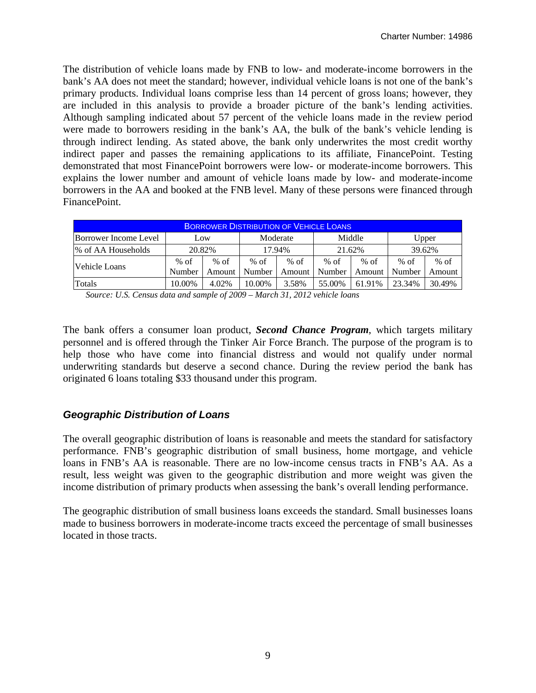The distribution of vehicle loans made by FNB to low- and moderate-income borrowers in the bank's AA does not meet the standard; however, individual vehicle loans is not one of the bank's primary products. Individual loans comprise less than 14 percent of gross loans; however, they are included in this analysis to provide a broader picture of the bank's lending activities. Although sampling indicated about 57 percent of the vehicle loans made in the review period were made to borrowers residing in the bank's AA, the bulk of the bank's vehicle lending is through indirect lending. As stated above, the bank only underwrites the most credit worthy indirect paper and passes the remaining applications to its affiliate, FinancePoint. Testing demonstrated that most FinancePoint borrowers were low- or moderate-income borrowers. This explains the lower number and amount of vehicle loans made by low- and moderate-income borrowers in the AA and booked at the FNB level. Many of these persons were financed through FinancePoint.

| <b>BORROWER DISTRIBUTION OF VEHICLE LOANS</b>               |        |        |        |        |        |        |        |        |  |  |
|-------------------------------------------------------------|--------|--------|--------|--------|--------|--------|--------|--------|--|--|
| Middle<br>Borrower Income Level<br>Moderate<br>Upper<br>Low |        |        |        |        |        |        |        |        |  |  |
| 1% of AA Households                                         | 20.82% |        |        | 17.94% | 21.62% |        | 39.62% |        |  |  |
| lVehicle Loans                                              | $%$ of | $%$ of | % of   | % of   | $%$ of | $%$ of | $%$ of | $%$ of |  |  |
|                                                             | Number | Amount | Number | Amount | Number | Amount | Number | Amount |  |  |
| Totals                                                      | 10.00% | 4.02%  | 10.00% | 3.58%  | 55.00% | 61.91% | 23.34% | 30.49% |  |  |

*Source: U.S. Census data and sample of 2009 – March 31, 2012 vehicle loans* 

The bank offers a consumer loan product, *Second Chance Program*, which targets military personnel and is offered through the Tinker Air Force Branch. The purpose of the program is to help those who have come into financial distress and would not qualify under normal underwriting standards but deserve a second chance. During the review period the bank has originated 6 loans totaling \$33 thousand under this program.

#### *Geographic Distribution of Loans*

The overall geographic distribution of loans is reasonable and meets the standard for satisfactory performance. FNB's geographic distribution of small business, home mortgage, and vehicle loans in FNB's AA is reasonable. There are no low-income census tracts in FNB's AA. As a result, less weight was given to the geographic distribution and more weight was given the income distribution of primary products when assessing the bank's overall lending performance.

The geographic distribution of small business loans exceeds the standard. Small businesses loans made to business borrowers in moderate-income tracts exceed the percentage of small businesses located in those tracts.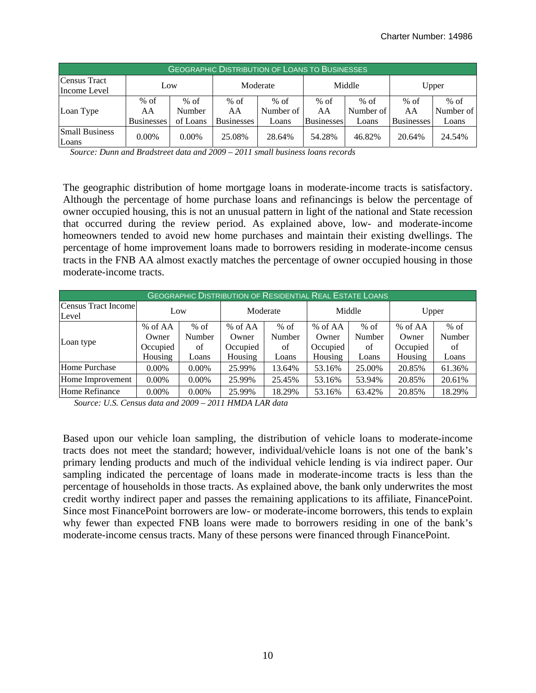| <b>GEOGRAPHIC DISTRIBUTION OF LOANS TO BUSINESSES</b> |                                   |                              |                                   |                              |                                   |                            |                                   |                              |  |
|-------------------------------------------------------|-----------------------------------|------------------------------|-----------------------------------|------------------------------|-----------------------------------|----------------------------|-----------------------------------|------------------------------|--|
| Census Tract<br>Income Level                          | Low                               |                              |                                   | Moderate                     |                                   | Middle                     |                                   | Upper                        |  |
| Loan Type                                             | $%$ of<br>AA<br><b>Businesses</b> | $%$ of<br>Number<br>of Loans | $%$ of<br>AA<br><b>Businesses</b> | $%$ of<br>Number of<br>Loans | $%$ of<br>AA<br><b>Businesses</b> | % of<br>Number of<br>Loans | $%$ of<br>AA<br><b>Businesses</b> | $%$ of<br>Number of<br>Loans |  |
| <b>Small Business</b><br>Loans                        | $0.00\%$                          | 0.00%                        | 25.08%                            | 28.64%                       | 54.28%                            | 46.82%                     | 20.64%                            | 24.54%                       |  |

 *Source: Dunn and Bradstreet data and 2009 – 2011 small business loans records* 

The geographic distribution of home mortgage loans in moderate-income tracts is satisfactory. Although the percentage of home purchase loans and refinancings is below the percentage of owner occupied housing, this is not an unusual pattern in light of the national and State recession that occurred during the review period. As explained above, low- and moderate-income homeowners tended to avoid new home purchases and maintain their existing dwellings. The percentage of home improvement loans made to borrowers residing in moderate-income census tracts in the FNB AA almost exactly matches the percentage of owner occupied housing in those moderate-income tracts.

| <b>GEOGRAPHIC DISTRIBUTION OF RESIDENTIAL REAL ESTATE LOANS</b> |          |          |           |        |          |        |          |        |  |  |
|-----------------------------------------------------------------|----------|----------|-----------|--------|----------|--------|----------|--------|--|--|
| Census Tract Income<br>Level                                    | Low      |          | Moderate  |        | Middle   |        | Upper    |        |  |  |
|                                                                 | % of AA  | $%$ of   | $%$ of AA | $%$ of | % of AA  | $%$ of | % of AA  | $%$ of |  |  |
|                                                                 | Owner    | Number   | Owner     | Number | Owner    | Number | Owner    | Number |  |  |
| Loan type                                                       | Occupied | of       | Occupied  | of     | Occupied | of     | Occupied | of     |  |  |
|                                                                 | Housing  | Loans    | Housing   | Loans  | Housing  | Loans  | Housing  | Loans  |  |  |
| Home Purchase                                                   | $0.00\%$ | $0.00\%$ | 25.99%    | 13.64% | 53.16%   | 25.00% | 20.85%   | 61.36% |  |  |
| Home Improvement                                                | $0.00\%$ | $0.00\%$ | 25.99%    | 25.45% | 53.16%   | 53.94% | 20.85%   | 20.61% |  |  |
| Home Refinance                                                  | 0.00%    | 0.00%    | 25.99%    | 18.29% | 53.16%   | 63.42% | 20.85%   | 18.29% |  |  |

 *Source: U.S. Census data and 2009 – 2011 HMDA LAR data* 

Based upon our vehicle loan sampling, the distribution of vehicle loans to moderate-income tracts does not meet the standard; however, individual/vehicle loans is not one of the bank's primary lending products and much of the individual vehicle lending is via indirect paper. Our sampling indicated the percentage of loans made in moderate-income tracts is less than the percentage of households in those tracts. As explained above, the bank only underwrites the most credit worthy indirect paper and passes the remaining applications to its affiliate, FinancePoint. Since most FinancePoint borrowers are low- or moderate-income borrowers, this tends to explain why fewer than expected FNB loans were made to borrowers residing in one of the bank's moderate-income census tracts. Many of these persons were financed through FinancePoint.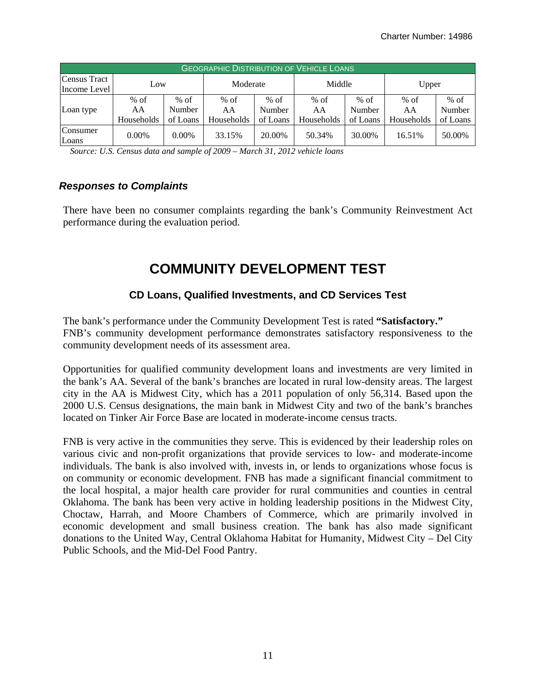| <b>GEOGRAPHIC DISTRIBUTION OF VEHICLE LOANS</b> |                            |                              |                            |                            |                            |                              |                            |                              |  |
|-------------------------------------------------|----------------------------|------------------------------|----------------------------|----------------------------|----------------------------|------------------------------|----------------------------|------------------------------|--|
| Census Tract<br>Income Level                    | Low                        |                              | Moderate                   |                            | Middle                     |                              | Upper                      |                              |  |
| Loan type                                       | $%$ of<br>AA<br>Households | $%$ of<br>Number<br>of Loans | $%$ of<br>AA<br>Households | % of<br>Number<br>of Loans | $%$ of<br>AA<br>Households | $%$ of<br>Number<br>of Loans | $%$ of<br>AA<br>Households | $%$ of<br>Number<br>of Loans |  |
| Consumer<br>Loans                               | $0.00\%$                   | $0.00\%$                     | 33.15%                     | 20.00%                     | 50.34%                     | 30.00%                       | 16.51%                     | 50.00%                       |  |

 *Source: U.S. Census data and sample of 2009 – March 31, 2012 vehicle loans* 

#### *Responses to Complaints*

There have been no consumer complaints regarding the bank's Community Reinvestment Act performance during the evaluation period.

### **COMMUNITY DEVELOPMENT TEST**

#### **CD Loans, Qualified Investments, and CD Services Test**

The bank's performance under the Community Development Test is rated **"Satisfactory."**  FNB's community development performance demonstrates satisfactory responsiveness to the community development needs of its assessment area.

Opportunities for qualified community development loans and investments are very limited in the bank's AA. Several of the bank's branches are located in rural low-density areas. The largest city in the AA is Midwest City, which has a 2011 population of only 56,314. Based upon the 2000 U.S. Census designations, the main bank in Midwest City and two of the bank's branches located on Tinker Air Force Base are located in moderate-income census tracts.

FNB is very active in the communities they serve. This is evidenced by their leadership roles on various civic and non-profit organizations that provide services to low- and moderate-income individuals. The bank is also involved with, invests in, or lends to organizations whose focus is on community or economic development. FNB has made a significant financial commitment to the local hospital, a major health care provider for rural communities and counties in central Oklahoma. The bank has been very active in holding leadership positions in the Midwest City, Choctaw, Harrah, and Moore Chambers of Commerce, which are primarily involved in economic development and small business creation. The bank has also made significant donations to the United Way, Central Oklahoma Habitat for Humanity, Midwest City – Del City Public Schools, and the Mid-Del Food Pantry.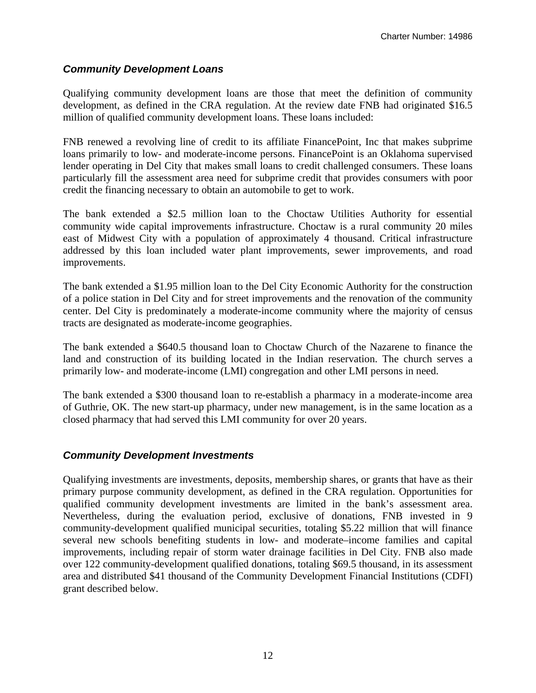#### *Community Development Loans*

Qualifying community development loans are those that meet the definition of community development, as defined in the CRA regulation. At the review date FNB had originated \$16.5 million of qualified community development loans. These loans included:

FNB renewed a revolving line of credit to its affiliate FinancePoint, Inc that makes subprime loans primarily to low- and moderate-income persons. FinancePoint is an Oklahoma supervised lender operating in Del City that makes small loans to credit challenged consumers. These loans particularly fill the assessment area need for subprime credit that provides consumers with poor credit the financing necessary to obtain an automobile to get to work.

The bank extended a \$2.5 million loan to the Choctaw Utilities Authority for essential community wide capital improvements infrastructure. Choctaw is a rural community 20 miles east of Midwest City with a population of approximately 4 thousand. Critical infrastructure addressed by this loan included water plant improvements, sewer improvements, and road improvements.

The bank extended a \$1.95 million loan to the Del City Economic Authority for the construction of a police station in Del City and for street improvements and the renovation of the community center. Del City is predominately a moderate-income community where the majority of census tracts are designated as moderate-income geographies.

The bank extended a \$640.5 thousand loan to Choctaw Church of the Nazarene to finance the land and construction of its building located in the Indian reservation. The church serves a primarily low- and moderate-income (LMI) congregation and other LMI persons in need.

The bank extended a \$300 thousand loan to re-establish a pharmacy in a moderate-income area of Guthrie, OK. The new start-up pharmacy, under new management, is in the same location as a closed pharmacy that had served this LMI community for over 20 years.

#### *Community Development Investments*

Qualifying investments are investments, deposits, membership shares, or grants that have as their primary purpose community development, as defined in the CRA regulation. Opportunities for qualified community development investments are limited in the bank's assessment area. Nevertheless, during the evaluation period, exclusive of donations, FNB invested in 9 community-development qualified municipal securities, totaling \$5.22 million that will finance several new schools benefiting students in low- and moderate–income families and capital improvements, including repair of storm water drainage facilities in Del City. FNB also made over 122 community-development qualified donations, totaling \$69.5 thousand, in its assessment area and distributed \$41 thousand of the Community Development Financial Institutions (CDFI) grant described below.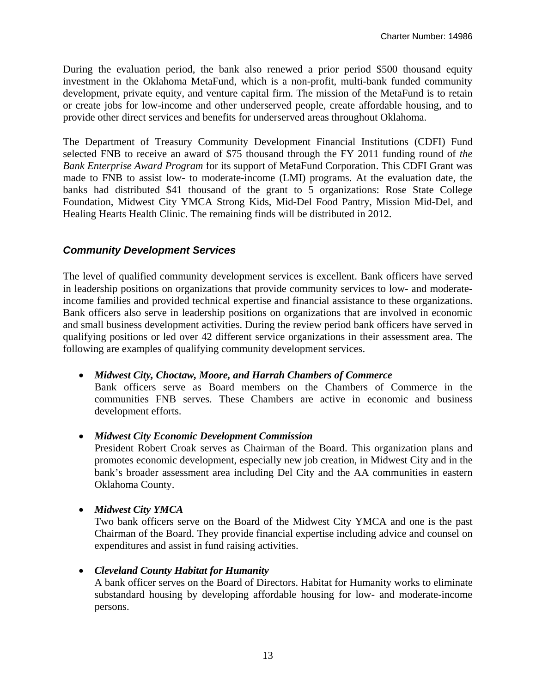During the evaluation period, the bank also renewed a prior period \$500 thousand equity investment in the Oklahoma MetaFund, which is a non-profit, multi-bank funded community development, private equity, and venture capital firm. The mission of the MetaFund is to retain or create jobs for low-income and other underserved people, create affordable housing, and to provide other direct services and benefits for underserved areas throughout Oklahoma.

The Department of Treasury Community Development Financial Institutions (CDFI) Fund selected FNB to receive an award of \$75 thousand through the FY 2011 funding round of *the Bank Enterprise Award Program* for its support of MetaFund Corporation. This CDFI Grant was made to FNB to assist low- to moderate-income (LMI) programs. At the evaluation date, the banks had distributed \$41 thousand of the grant to 5 organizations: Rose State College Foundation, Midwest City YMCA Strong Kids, Mid-Del Food Pantry, Mission Mid-Del, and Healing Hearts Health Clinic. The remaining finds will be distributed in 2012.

#### *Community Development Services*

The level of qualified community development services is excellent. Bank officers have served in leadership positions on organizations that provide community services to low- and moderateincome families and provided technical expertise and financial assistance to these organizations. Bank officers also serve in leadership positions on organizations that are involved in economic and small business development activities. During the review period bank officers have served in qualifying positions or led over 42 different service organizations in their assessment area. The following are examples of qualifying community development services.

#### *Midwest City, Choctaw, Moore, and Harrah Chambers of Commerce*

Bank officers serve as Board members on the Chambers of Commerce in the communities FNB serves. These Chambers are active in economic and business development efforts.

#### *Midwest City Economic Development Commission*

President Robert Croak serves as Chairman of the Board. This organization plans and promotes economic development, especially new job creation, in Midwest City and in the bank's broader assessment area including Del City and the AA communities in eastern Oklahoma County.

#### *Midwest City YMCA*

Two bank officers serve on the Board of the Midwest City YMCA and one is the past Chairman of the Board. They provide financial expertise including advice and counsel on expenditures and assist in fund raising activities.

#### *Cleveland County Habitat for Humanity*

A bank officer serves on the Board of Directors. Habitat for Humanity works to eliminate substandard housing by developing affordable housing for low- and moderate-income persons.